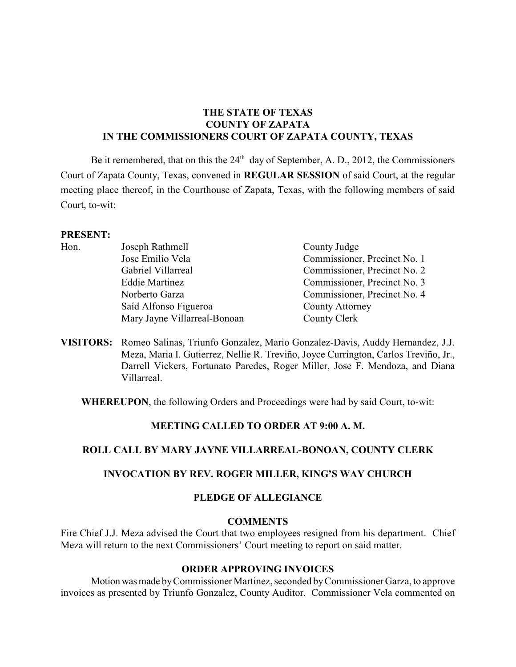# **THE STATE OF TEXAS COUNTY OF ZAPATA IN THE COMMISSIONERS COURT OF ZAPATA COUNTY, TEXAS**

Be it remembered, that on this the  $24<sup>th</sup>$  day of September, A. D., 2012, the Commissioners Court of Zapata County, Texas, convened in **REGULAR SESSION** of said Court, at the regular meeting place thereof, in the Courthouse of Zapata, Texas, with the following members of said Court, to-wit:

#### **PRESENT:**

| Hon. | Joseph Rathmell              | County Judge                 |
|------|------------------------------|------------------------------|
|      | Jose Emilio Vela             | Commissioner, Precinct No. 1 |
|      | Gabriel Villarreal           | Commissioner, Precinct No. 2 |
|      | <b>Eddie Martinez</b>        | Commissioner, Precinct No. 3 |
|      | Norberto Garza               | Commissioner, Precinct No. 4 |
|      | Saíd Alfonso Figueroa        | County Attorney              |
|      | Mary Jayne Villarreal-Bonoan | County Clerk                 |
|      |                              |                              |

**VISITORS:** Romeo Salinas, Triunfo Gonzalez, Mario Gonzalez-Davis, Auddy Hernandez, J.J. Meza, Maria I. Gutierrez, Nellie R. Treviño, Joyce Currington, Carlos Treviño, Jr., Darrell Vickers, Fortunato Paredes, Roger Miller, Jose F. Mendoza, and Diana Villarreal.

**WHEREUPON**, the following Orders and Proceedings were had by said Court, to-wit:

### **MEETING CALLED TO ORDER AT 9:00 A. M.**

### **ROLL CALL BY MARY JAYNE VILLARREAL-BONOAN, COUNTY CLERK**

### **INVOCATION BY REV. ROGER MILLER, KING'S WAY CHURCH**

### **PLEDGE OF ALLEGIANCE**

### **COMMENTS**

Fire Chief J.J. Meza advised the Court that two employees resigned from his department. Chief Meza will return to the next Commissioners' Court meeting to report on said matter.

# **ORDER APPROVING INVOICES**

Motion was made by Commissioner Martinez, seconded by Commissioner Garza, to approve invoices as presented by Triunfo Gonzalez, County Auditor. Commissioner Vela commented on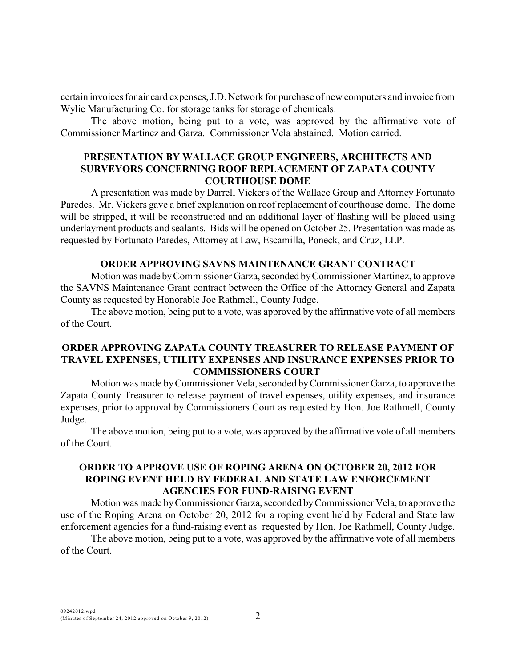certain invoices for air card expenses, J.D. Network for purchase of new computers and invoice from Wylie Manufacturing Co. for storage tanks for storage of chemicals.

The above motion, being put to a vote, was approved by the affirmative vote of Commissioner Martinez and Garza. Commissioner Vela abstained. Motion carried.

# **PRESENTATION BY WALLACE GROUP ENGINEERS, ARCHITECTS AND SURVEYORS CONCERNING ROOF REPLACEMENT OF ZAPATA COUNTY COURTHOUSE DOME**

A presentation was made by Darrell Vickers of the Wallace Group and Attorney Fortunato Paredes. Mr. Vickers gave a brief explanation on roof replacement of courthouse dome. The dome will be stripped, it will be reconstructed and an additional layer of flashing will be placed using underlayment products and sealants. Bids will be opened on October 25. Presentation was made as requested by Fortunato Paredes, Attorney at Law, Escamilla, Poneck, and Cruz, LLP.

# **ORDER APPROVING SAVNS MAINTENANCE GRANT CONTRACT**

Motion was made by Commissioner Garza, seconded by Commissioner Martinez, to approve the SAVNS Maintenance Grant contract between the Office of the Attorney General and Zapata County as requested by Honorable Joe Rathmell, County Judge.

The above motion, being put to a vote, was approved by the affirmative vote of all members of the Court.

# **ORDER APPROVING ZAPATA COUNTY TREASURER TO RELEASE PAYMENT OF TRAVEL EXPENSES, UTILITY EXPENSES AND INSURANCE EXPENSES PRIOR TO COMMISSIONERS COURT**

Motion was made by Commissioner Vela, seconded by Commissioner Garza, to approve the Zapata County Treasurer to release payment of travel expenses, utility expenses, and insurance expenses, prior to approval by Commissioners Court as requested by Hon. Joe Rathmell, County Judge.

The above motion, being put to a vote, was approved by the affirmative vote of all members of the Court.

# **ORDER TO APPROVE USE OF ROPING ARENA ON OCTOBER 20, 2012 FOR ROPING EVENT HELD BY FEDERAL AND STATE LAW ENFORCEMENT AGENCIES FOR FUND-RAISING EVENT**

Motion was made by Commissioner Garza, seconded by Commissioner Vela, to approve the use of the Roping Arena on October 20, 2012 for a roping event held by Federal and State law enforcement agencies for a fund-raising event as requested by Hon. Joe Rathmell, County Judge.

The above motion, being put to a vote, was approved by the affirmative vote of all members of the Court.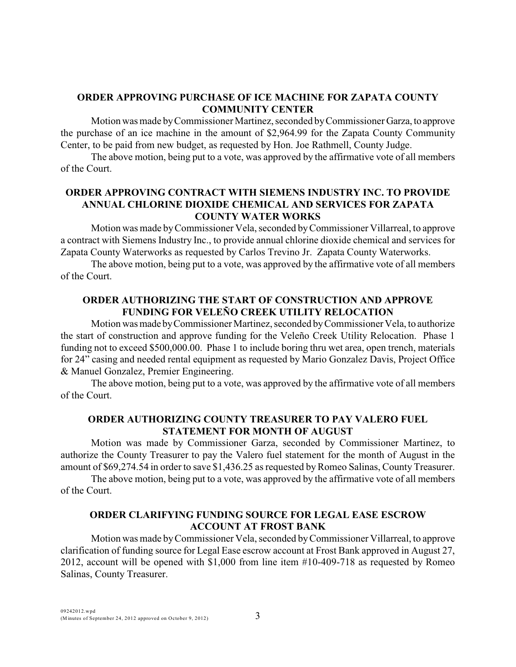# **ORDER APPROVING PURCHASE OF ICE MACHINE FOR ZAPATA COUNTY COMMUNITY CENTER**

Motion was made by Commissioner Martinez, seconded by Commissioner Garza, to approve the purchase of an ice machine in the amount of \$2,964.99 for the Zapata County Community Center, to be paid from new budget, as requested by Hon. Joe Rathmell, County Judge.

The above motion, being put to a vote, was approved by the affirmative vote of all members of the Court.

# **ORDER APPROVING CONTRACT WITH SIEMENS INDUSTRY INC. TO PROVIDE ANNUAL CHLORINE DIOXIDE CHEMICAL AND SERVICES FOR ZAPATA COUNTY WATER WORKS**

Motion was made by Commissioner Vela, seconded byCommissioner Villarreal, to approve a contract with Siemens Industry Inc., to provide annual chlorine dioxide chemical and services for Zapata County Waterworks as requested by Carlos Trevino Jr. Zapata County Waterworks.

The above motion, being put to a vote, was approved by the affirmative vote of all members of the Court.

# **ORDER AUTHORIZING THE START OF CONSTRUCTION AND APPROVE FUNDING FOR VELEÑO CREEK UTILITY RELOCATION**

Motion was made by Commissioner Martinez, seconded by Commissioner Vela, to authorize the start of construction and approve funding for the Veleño Creek Utility Relocation. Phase 1 funding not to exceed \$500,000.00. Phase 1 to include boring thru wet area, open trench, materials for 24" casing and needed rental equipment as requested by Mario Gonzalez Davis, Project Office & Manuel Gonzalez, Premier Engineering.

The above motion, being put to a vote, was approved by the affirmative vote of all members of the Court.

# **ORDER AUTHORIZING COUNTY TREASURER TO PAY VALERO FUEL STATEMENT FOR MONTH OF AUGUST**

Motion was made by Commissioner Garza, seconded by Commissioner Martinez, to authorize the County Treasurer to pay the Valero fuel statement for the month of August in the amount of \$69,274.54 in order to save \$1,436.25 as requested by Romeo Salinas, County Treasurer.

The above motion, being put to a vote, was approved by the affirmative vote of all members of the Court.

### **ORDER CLARIFYING FUNDING SOURCE FOR LEGAL EASE ESCROW ACCOUNT AT FROST BANK**

Motion was made byCommissioner Vela, seconded byCommissioner Villarreal, to approve clarification of funding source for Legal Ease escrow account at Frost Bank approved in August 27, 2012, account will be opened with \$1,000 from line item #10-409-718 as requested by Romeo Salinas, County Treasurer.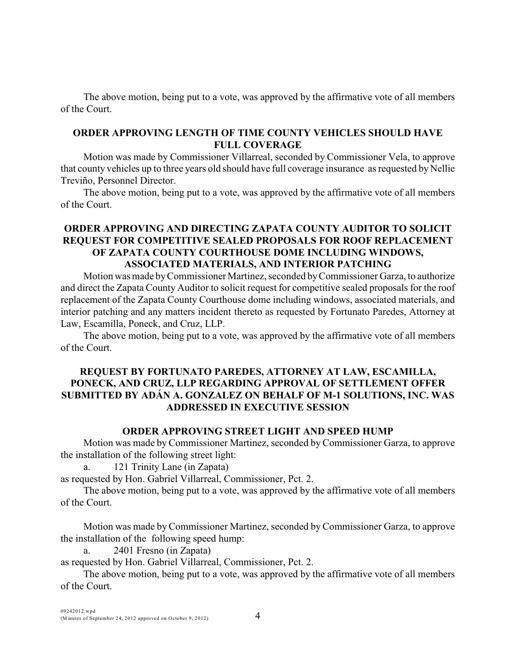The above motion, being put to a vote, was approved by the affirmative vote of all members of the Court.

### **ORDER APPROVING LENGTH OF TIME COUNTY VEHICLES SHOULD HAVE FULL COVERAGE**

Motion was made by Commissioner Villarreal, seconded by Commissioner Vela, to approve that county vehicles up to three years old should have full coverage insurance as requested by Nellie Treviño, Personnel Director.

The above motion, being put to a vote, was approved by the affirmative vote of all members of the Court.

# **ORDER APPROVING AND DIRECTING ZAPATA COUNTY AUDITOR TO SOLICIT REQUEST FOR COMPETITIVE SEALED PROPOSALS FOR ROOF REPLACEMENT OF ZAPATA COUNTY COURTHOUSE DOME INCLUDING WINDOWS, ASSOCIATED MATERIALS, AND INTERIOR PATCHING**

Motion was made by Commissioner Martinez, seconded by Commissioner Garza, to authorize and direct the Zapata County Auditor to solicit request for competitive sealed proposals for the roof replacement of the Zapata County Courthouse dome including windows, associated materials, and interior patching and any matters incident thereto as requested by Fortunato Paredes, Attorney at Law, Escamilla, Poneck, and Cruz, LLP.

The above motion, being put to a vote, was approved by the affirmative vote of all members of the Court.

# **REQUEST BY FORTUNATO PAREDES, ATTORNEY AT LAW, ESCAMILLA, PONECK, AND CRUZ, LLP REGARDING APPROVAL OF SETTLEMENT OFFER SUBMITTED BY ADÁN A. GONZALEZ ON BEHALF OF M-1 SOLUTIONS, INC. WAS ADDRESSED IN EXECUTIVE SESSION**

### **ORDER APPROVING STREET LIGHT AND SPEED HUMP**

Motion was made by Commissioner Martinez, seconded by Commissioner Garza, to approve the installation of the following street light:

a. 121 Trinity Lane (in Zapata)

as requested by Hon. Gabriel Villarreal, Commissioner, Pct. 2.

The above motion, being put to a vote, was approved by the affirmative vote of all members of the Court.

Motion was made by Commissioner Martinez, seconded by Commissioner Garza, to approve the installation of the following speed hump:

a. 2401 Fresno (in Zapata)

as requested by Hon. Gabriel Villarreal, Commissioner, Pct. 2.

The above motion, being put to a vote, was approved by the affirmative vote of all members of the Court.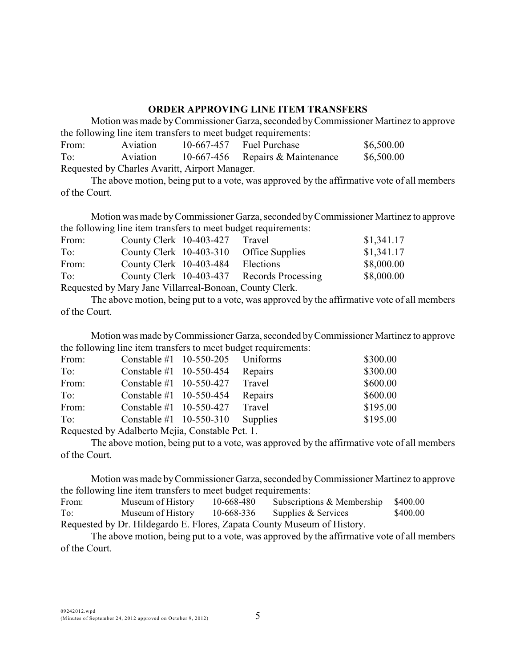# **ORDER APPROVING LINE ITEM TRANSFERS**

Motion was made byCommissioner Garza, seconded by Commissioner Martinez to approve the following line item transfers to meet budget requirements:

| From:                                          | Aviation |  | $10-667-457$ Fuel Purchase       | \$6,500.00 |  |
|------------------------------------------------|----------|--|----------------------------------|------------|--|
| To:                                            | Aviation |  | 10-667-456 Repairs & Maintenance | \$6,500.00 |  |
| Requested by Charles Avaritt, Airport Manager. |          |  |                                  |            |  |

The above motion, being put to a vote, was approved by the affirmative vote of all members of the Court.

Motion was made by Commissioner Garza, seconded by Commissioner Martinez to approve the following line item transfers to meet budget requirements:

| From:                                                   | County Clerk 10-403-427 |  | Travel                                     | \$1,341.17 |
|---------------------------------------------------------|-------------------------|--|--------------------------------------------|------------|
| To:                                                     |                         |  | County Clerk 10-403-310 Office Supplies    | \$1,341.17 |
| From:                                                   | County Clerk 10-403-484 |  | Elections                                  | \$8,000.00 |
| To:                                                     |                         |  | County Clerk 10-403-437 Records Processing | \$8,000.00 |
| Requested by Mary Jane Villarreal-Bonoan, County Clerk. |                         |  |                                            |            |

The above motion, being put to a vote, was approved by the affirmative vote of all members of the Court.

Motion was made byCommissioner Garza, seconded by Commissioner Martinez to approve the following line item transfers to meet budget requirements:

| From:        | Constable $\#1$ 10-550-205 Uniforms                               |          | \$300.00 |
|--------------|-------------------------------------------------------------------|----------|----------|
| To:          | Constable #1 $10-550-454$                                         | Repairs  | \$300.00 |
| From:        | Constable #1 $10-550-427$                                         | Travel   | \$600.00 |
| To:          | Constable #1 $10-550-454$                                         | Repairs  | \$600.00 |
| From:        | Constable #1 $10-550-427$                                         | Travel   | \$195.00 |
| To:          | Constable #1 $10-550-310$                                         | Supplies | \$195.00 |
| $\mathbf{L}$ | $\ldots$ 11 $\ldots$ $\ldots$ $\ldots$ $\ldots$ $\ldots$ $\ldots$ |          |          |

Requested by Adalberto Mejia, Constable Pct. 1.

The above motion, being put to a vote, was approved by the affirmative vote of all members of the Court.

Motion was made by Commissioner Garza, seconded by Commissioner Martinez to approve the following line item transfers to meet budget requirements:

| From: | Museum of History | 10-668-480 | Subscriptions & Membership                                              | \$400.00 |
|-------|-------------------|------------|-------------------------------------------------------------------------|----------|
| To:   | Museum of History | 10-668-336 | Supplies & Services                                                     | \$400.00 |
|       |                   |            | Requested by Dr. Hildegardo E. Flores, Zapata County Museum of History. |          |

The above motion, being put to a vote, was approved by the affirmative vote of all members of the Court.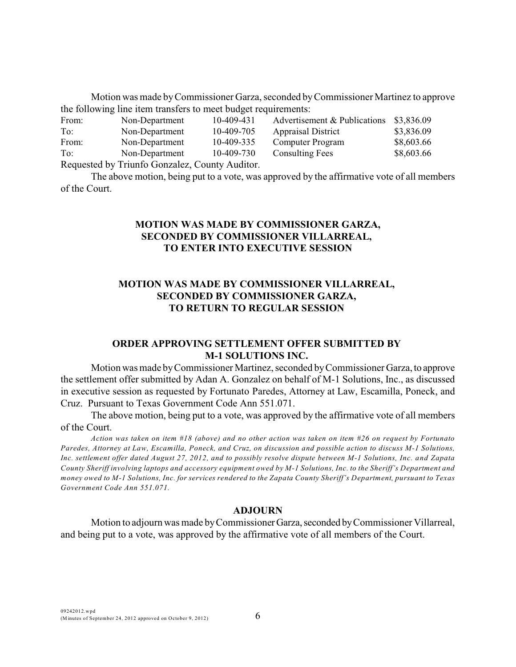Motion was made by Commissioner Garza, seconded by Commissioner Martinez to approve the following line item transfers to meet budget requirements:

| From: | Non-Department                                 | 10-409-431 | Advertisement & Publications | \$3,836.09 |
|-------|------------------------------------------------|------------|------------------------------|------------|
| To:   | Non-Department                                 | 10-409-705 | <b>Appraisal District</b>    | \$3,836.09 |
| From: | Non-Department                                 | 10-409-335 | Computer Program             | \$8,603.66 |
| To:   | Non-Department                                 | 10-409-730 | <b>Consulting Fees</b>       | \$8,603.66 |
|       | Requested by Triunfo Gonzalez, County Auditor. |            |                              |            |

The above motion, being put to a vote, was approved by the affirmative vote of all members of the Court.

# **MOTION WAS MADE BY COMMISSIONER GARZA, SECONDED BY COMMISSIONER VILLARREAL, TO ENTER INTO EXECUTIVE SESSION**

# **MOTION WAS MADE BY COMMISSIONER VILLARREAL, SECONDED BY COMMISSIONER GARZA, TO RETURN TO REGULAR SESSION**

# **ORDER APPROVING SETTLEMENT OFFER SUBMITTED BY M-1 SOLUTIONS INC.**

Motion was made by Commissioner Martinez, seconded by Commissioner Garza, to approve the settlement offer submitted by Adan A. Gonzalez on behalf of M-1 Solutions, Inc., as discussed in executive session as requested by Fortunato Paredes, Attorney at Law, Escamilla, Poneck, and Cruz. Pursuant to Texas Government Code Ann 551.071.

The above motion, being put to a vote, was approved by the affirmative vote of all members of the Court.

*Action was taken on item #18 (above) and no other action was taken on item #26 on request by Fortunato Paredes, Attorney at Law, Escamilla, Poneck, and Cruz, on discussion and possible action to discuss M-1 Solutions, Inc. settlement offer dated August 27, 2012, and to possibly resolve dispute between M-1 Solutions, Inc. and Zapata County Sheriff involving laptops and accessory equipment owed by M-1 Solutions, Inc. to the Sheriff's Department and money owed to M-1 Solutions, Inc. for services rendered to the Zapata County Sheriff's Department, pursuant to Texas Government Code Ann 551.071.*

#### **ADJOURN**

Motion to adjourn was made by Commissioner Garza, seconded by Commissioner Villarreal, and being put to a vote, was approved by the affirmative vote of all members of the Court.